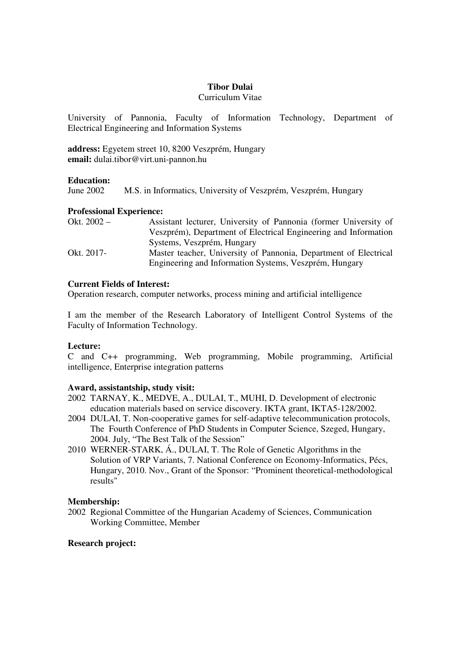## **Tibor Dulai**

## Curriculum Vitae

University of Pannonia, Faculty of Information Technology, Department of Electrical Engineering and Information Systems

**address:** Egyetem street 10, 8200 Veszprém, Hungary **email:** dulai.tibor@virt.uni-pannon.hu

## **Education:**

June 2002 M.S. in Informatics, University of Veszprém, Veszprém, Hungary

## **Professional Experience:**

| Okt. $2002 -$ | Assistant lecturer, University of Pannonia (former University of |
|---------------|------------------------------------------------------------------|
|               | Veszprém), Department of Electrical Engineering and Information  |
|               | Systems, Veszprém, Hungary                                       |
| Okt. 2017-    | Master teacher, University of Pannonia, Department of Electrical |
|               | Engineering and Information Systems, Veszprém, Hungary           |

## **Current Fields of Interest:**

Operation research, computer networks, process mining and artificial intelligence

I am the member of the Research Laboratory of Intelligent Control Systems of the Faculty of Information Technology.

# **Lecture:**

C and C++ programming, Web programming, Mobile programming, Artificial intelligence, Enterprise integration patterns

### **Award, assistantship, study visit:**

- 2002 TARNAY, K., MEDVE, A., DULAI, T., MUHI, D. Development of electronic education materials based on service discovery. IKTA grant, IKTA5-128/2002.
- 2004 DULAI, T. Non-cooperative games for self-adaptive telecommunication protocols, The Fourth Conference of PhD Students in Computer Science, Szeged, Hungary, 2004. July, "The Best Talk of the Session"
- 2010 WERNER-STARK, Á., DULAI, T. The Role of Genetic Algorithms in the Solution of VRP Variants, 7. National Conference on Economy-Informatics, Pécs, Hungary, 2010. Nov., Grant of the Sponsor: "Prominent theoretical-methodological results"

### **Membership:**

2002 Regional Committee of the Hungarian Academy of Sciences, Communication Working Committee, Member

### **Research project:**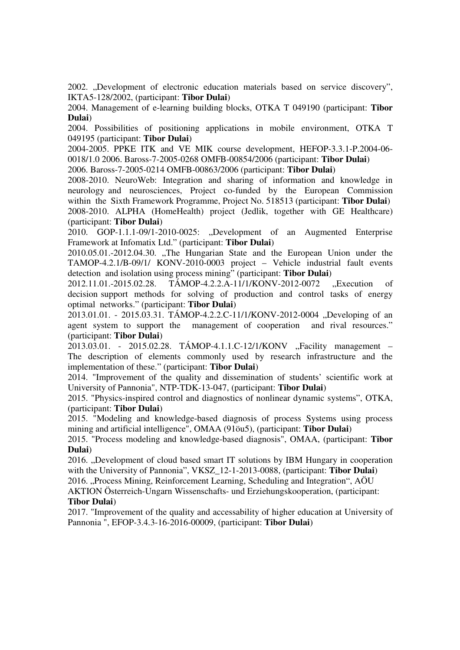2002. "Development of electronic education materials based on service discovery", IKTA5-128/2002, (participant: **Tibor Dulai**)

2004. Management of e-learning building blocks, OTKA T 049190 (participant: **Tibor Dulai**)

2004. Possibilities of positioning applications in mobile environment, OTKA T 049195 (participant: **Tibor Dulai**)

2004-2005. PPKE ITK and VE MIK course development, HEFOP-3.3.1-P.2004-06- 0018/1.0 2006. Baross-7-2005-0268 OMFB-00854/2006 (participant: **Tibor Dulai**)

2006. Baross-7-2005-0214 OMFB-00863/2006 (participant: **Tibor Dulai**)

2008-2010. NeuroWeb: Integration and sharing of information and knowledge in neurology and neurosciences, Project co-funded by the European Commission within the Sixth Framework Programme, Project No. 518513 (participant: **Tibor Dulai**) 2008-2010. ALPHA (HomeHealth) project (Jedlik, together with GE Healthcare) (participant: **Tibor Dulai**)

2010. GOP-1.1.1-09/1-2010-0025: "Development of an Augmented Enterprise Framework at Infomatix Ltd." (participant: **Tibor Dulai**)

2010.05.01.-2012.04.30. "The Hungarian State and the European Union under the TAMOP-4.2.1/B-09/1/ KONV-2010-0003 project – Vehicle industrial fault events detection and isolation using process mining" (participant: **Tibor Dulai**)

2012.11.01.-2015.02.28. TÁMOP-4.2.2.A-11/1/KONV-2012-0072 "Execution of decision support methods for solving of production and control tasks of energy optimal networks." (participant: **Tibor Dulai**)

2013.01.01. - 2015.03.31. TÁMOP-4.2.2.C-11/1/KONV-2012-0004 "Developing of an agent system to support the management of cooperation and rival resources." (participant: **Tibor Dulai**)

2013.03.01. - 2015.02.28. TÁMOP-4.1.1.C-12/1/KONV "Facility management – The description of elements commonly used by research infrastructure and the implementation of these." (participant: **Tibor Dulai**)

2014. "Improvement of the quality and dissemination of students' scientific work at University of Pannonia", NTP-TDK-13-047, (participant: **Tibor Dulai**)

2015. "Physics-inspired control and diagnostics of nonlinear dynamic systems", OTKA, (participant: **Tibor Dulai**)

2015. "Modeling and knowledge-based diagnosis of process Systems using process mining and artificial intelligence", OMAA (91öu5), (participant: **Tibor Dulai**)

2015. "Process modeling and knowledge-based diagnosis", OMAA, (participant: **Tibor Dulai**)

2016. "Development of cloud based smart IT solutions by IBM Hungary in cooperation with the University of Pannonia", VKSZ\_12-1-2013-0088, (participant: **Tibor Dulai**)

2016. "Process Mining, Reinforcement Learning, Scheduling and Integration", AÖU

AKTION Österreich-Ungarn Wissenschafts- und Erziehungskooperation, (participant: **Tibor Dulai**)

2017. "Improvement of the quality and accessability of higher education at University of Pannonia ", EFOP-3.4.3-16-2016-00009, (participant: **Tibor Dulai**)